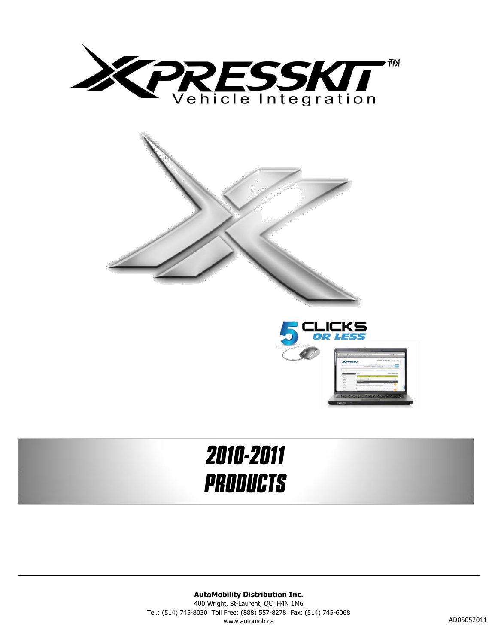



# *2010-2011 PRODUCTS*

**AutoMobility Distribution Inc.** 400 Wright, St-Laurent, QC H4N 1M6 Tel.: (514) 745-8030 Toll Free: (888) 557-8278 Fax: (514) 745-6068 www.automob.ca AD05052011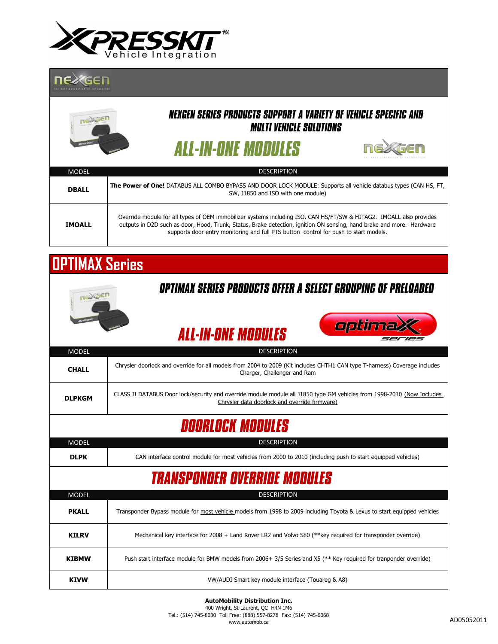

#### nexGEN



| <b>IVIUDEL</b> | <b>DLJUNE HUN</b>                                                                                                                                                                                                                                                                                                                    |
|----------------|--------------------------------------------------------------------------------------------------------------------------------------------------------------------------------------------------------------------------------------------------------------------------------------------------------------------------------------|
| <b>DBALL</b>   | The Power of One! DATABUS ALL COMBO BYPASS AND DOOR LOCK MODULE: Supports all vehicle databus types (CAN HS, FT,<br>SW, J1850 and ISO with one module)                                                                                                                                                                               |
| <b>IMOALL</b>  | Override module for all types of OEM immobilizer systems including ISO, CAN HS/FT/SW & HITAG2. IMOALL also provides<br>outputs in D2D such as door, Hood, Trunk, Status, Brake detection, ignition ON sensing, hand brake and more. Hardware<br>supports door entry monitoring and full PTS button control for push to start models. |

 $\Box$ 

GEN

## **OPTIMAX Series**

| Optimax series products offer a select grouping of preloaded |                                                                                                                                                                         |  |
|--------------------------------------------------------------|-------------------------------------------------------------------------------------------------------------------------------------------------------------------------|--|
|                                                              | optima<br><b>ALL-IN-ONE MODULES</b>                                                                                                                                     |  |
| <b>MODEL</b>                                                 | <b>DESCRIPTION</b>                                                                                                                                                      |  |
| <b>CHALL</b>                                                 | Chrysler doorlock and override for all models from 2004 to 2009 (Kit includes CHTH1 CAN type T-harness) Coverage includes<br>Charger, Challenger and Ram                |  |
| <b>DLPKGM</b>                                                | CLASS II DATABUS Door lock/security and override module module all J1850 type GM vehicles from 1998-2010 (Now Includes<br>Chrysler data doorlock and override firmware) |  |
| <b>DOORLOCK MODULES</b>                                      |                                                                                                                                                                         |  |
| <b>MODEL</b>                                                 | <b>DESCRIPTION</b>                                                                                                                                                      |  |
| <b>DLPK</b>                                                  | CAN interface control module for most vehicles from 2000 to 2010 (including push to start equipped vehicles)                                                            |  |
| <b>TRANSPONDER OVERRIDE MODULES</b>                          |                                                                                                                                                                         |  |
| <b>MODEL</b>                                                 | <b>DESCRIPTION</b>                                                                                                                                                      |  |
| <b>PKALL</b>                                                 | Transponder Bypass module for most vehicle models from 1998 to 2009 including Toyota & Lexus to start equipped vehicles                                                 |  |
| <b>KILRV</b>                                                 | Mechanical key interface for 2008 + Land Rover LR2 and Volvo S80 (**key required for transponder override)                                                              |  |
| <b>KIBMW</b>                                                 | Push start interface module for BMW models from 2006+ 3/5 Series and X5 (** Key required for tranponder override)                                                       |  |
| <b>KIVW</b>                                                  | VW/AUDI Smart key module interface (Touareg & A8)                                                                                                                       |  |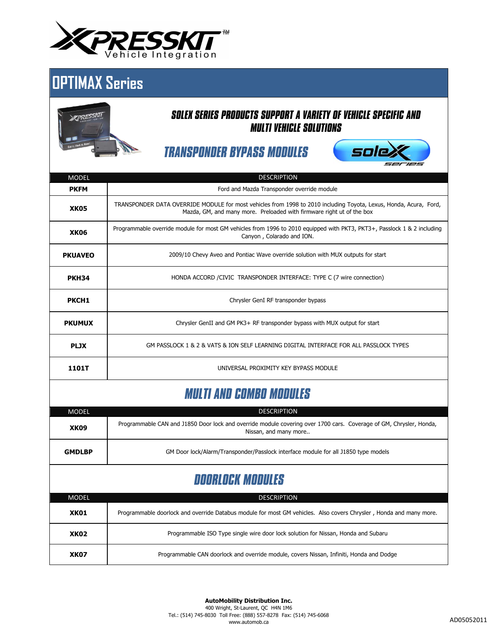

### **OPTIMAX Series**



**XK07**

#### *SOLEX SERIES PRODUCTS SUPPORT A VARIETY OF VEHICLE SPECIFIC AND MULTI VEHICLE SOLUTIONS*

*TRANSPONDER BYPASS MODULES*



| <b>MODEL</b>                   | <b>DESCRIPTION</b>                                                                                                                                                                         |  |
|--------------------------------|--------------------------------------------------------------------------------------------------------------------------------------------------------------------------------------------|--|
| <b>PKFM</b>                    | Ford and Mazda Transponder override module                                                                                                                                                 |  |
| XK <sub>05</sub>               | TRANSPONDER DATA OVERRIDE MODULE for most vehicles from 1998 to 2010 including Toyota, Lexus, Honda, Acura, Ford,<br>Mazda, GM, and many more. Preloaded with firmware right ut of the box |  |
| <b>XK06</b>                    | Programmable override module for most GM vehicles from 1996 to 2010 equipped with PKT3, PKT3+, Passlock 1 & 2 including<br>Canyon, Colarado and ION.                                       |  |
| <b>PKUAVEO</b>                 | 2009/10 Chevy Aveo and Pontiac Wave override solution with MUX outputs for start                                                                                                           |  |
| <b>PKH34</b>                   | HONDA ACCORD / CIVIC TRANSPONDER INTERFACE: TYPE C (7 wire connection)                                                                                                                     |  |
| <b>PKCH1</b>                   | Chrysler GenI RF transponder bypass                                                                                                                                                        |  |
| <b>PKUMUX</b>                  | Chrysler GenII and GM PK3+ RF transponder bypass with MUX output for start                                                                                                                 |  |
| <b>PLJX</b>                    | GM PASSLOCK 1 & 2 & VATS & ION SELF LEARNING DIGITAL INTERFACE FOR ALL PASSLOCK TYPES                                                                                                      |  |
| 1101T                          | UNIVERSAL PROXIMITY KEY BYPASS MODULE                                                                                                                                                      |  |
| <b>MULTI AND COMBO MODULES</b> |                                                                                                                                                                                            |  |
| <b>MODEL</b>                   | <b>DESCRIPTION</b>                                                                                                                                                                         |  |
| <b>XK09</b>                    | Programmable CAN and J1850 Door lock and override module covering over 1700 cars. Coverage of GM, Chrysler, Honda,<br>Nissan, and many more                                                |  |
| <b>GMDLBP</b>                  | GM Door lock/Alarm/Transponder/Passlock interface module for all J1850 type models                                                                                                         |  |
| <b>DOORLOCK MODULES</b>        |                                                                                                                                                                                            |  |
| <b>MODEL</b>                   | <b>DESCRIPTION</b>                                                                                                                                                                         |  |
| <b>XK01</b>                    | Programmable doorlock and override Databus module for most GM vehicles. Also covers Chrysler, Honda and many more.                                                                         |  |
| <b>XK02</b>                    | Programmable ISO Type single wire door lock solution for Nissan, Honda and Subaru                                                                                                          |  |